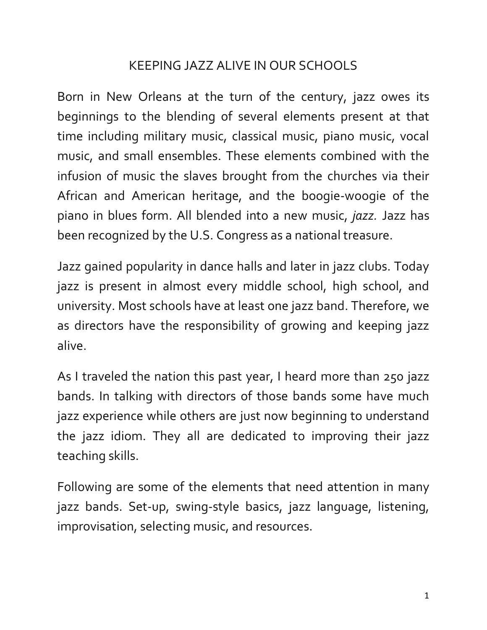## KEEPING JAZZ ALIVE IN OUR SCHOOLS

Born in New Orleans at the turn of the century, jazz owes its beginnings to the blending of several elements present at that time including military music, classical music, piano music, vocal music, and small ensembles. These elements combined with the infusion of music the slaves brought from the churches via their African and American heritage, and the boogie-woogie of the piano in blues form. All blended into a new music, *jazz.* Jazz has been recognized by the U.S. Congress as a national treasure.

Jazz gained popularity in dance halls and later in jazz clubs. Today jazz is present in almost every middle school, high school, and university. Most schools have at least one jazz band. Therefore, we as directors have the responsibility of growing and keeping jazz alive.

As I traveled the nation this past year, I heard more than 250 jazz bands. In talking with directors of those bands some have much jazz experience while others are just now beginning to understand the jazz idiom. They all are dedicated to improving their jazz teaching skills.

Following are some of the elements that need attention in many jazz bands. Set-up, swing-style basics, jazz language, listening, improvisation, selecting music, and resources.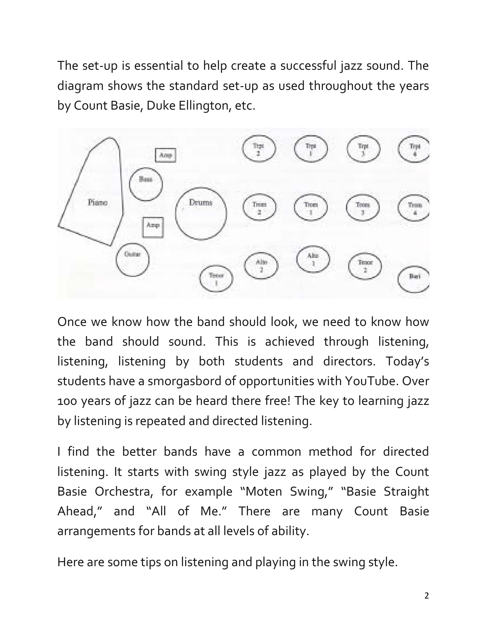The set-up is essential to help create a successful jazz sound. The diagram shows the standard set-up as used throughout the years by Count Basie, Duke Ellington, etc.



Once we know how the band should look, we need to know how the band should sound. This is achieved through listening, listening, listening by both students and directors. Today's students have a smorgasbord of opportunities with YouTube. Over 100 years of jazz can be heard there free! The key to learning jazz by listening is repeated and directed listening.

I find the better bands have a common method for directed listening. It starts with swing style jazz as played by the Count Basie Orchestra, for example "Moten Swing," "Basie Straight Ahead," and "All of Me." There are many Count Basie arrangements for bands at all levels of ability.

Here are some tips on listening and playing in the swing style.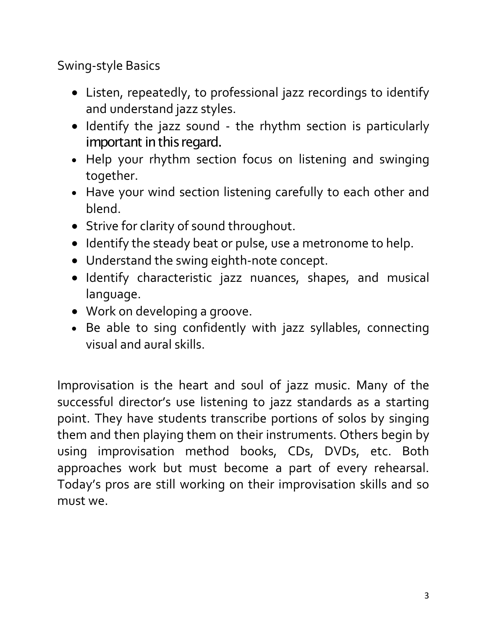Swing-style Basics

- Listen, repeatedly, to professional jazz recordings to identify and understand jazz styles.
- Identify the jazz sound the rhythm section is particularly important in this regard.
- Help your rhythm section focus on listening and swinging together.
- Have your wind section listening carefully to each other and blend.
- Strive for clarity of sound throughout.
- Identify the steady beat or pulse, use a metronome to help.
- Understand the swing eighth-note concept.
- Identify characteristic jazz nuances, shapes, and musical language.
- Work on developing a groove.
- Be able to sing confidently with jazz syllables, connecting visual and aural skills.

Improvisation is the heart and soul of jazz music. Many of the successful director's use listening to jazz standards as a starting point. They have students transcribe portions of solos by singing them and then playing them on their instruments. Others begin by using improvisation method books, CDs, DVDs, etc. Both approaches work but must become a part of every rehearsal. Today's pros are still working on their improvisation skills and so must we.